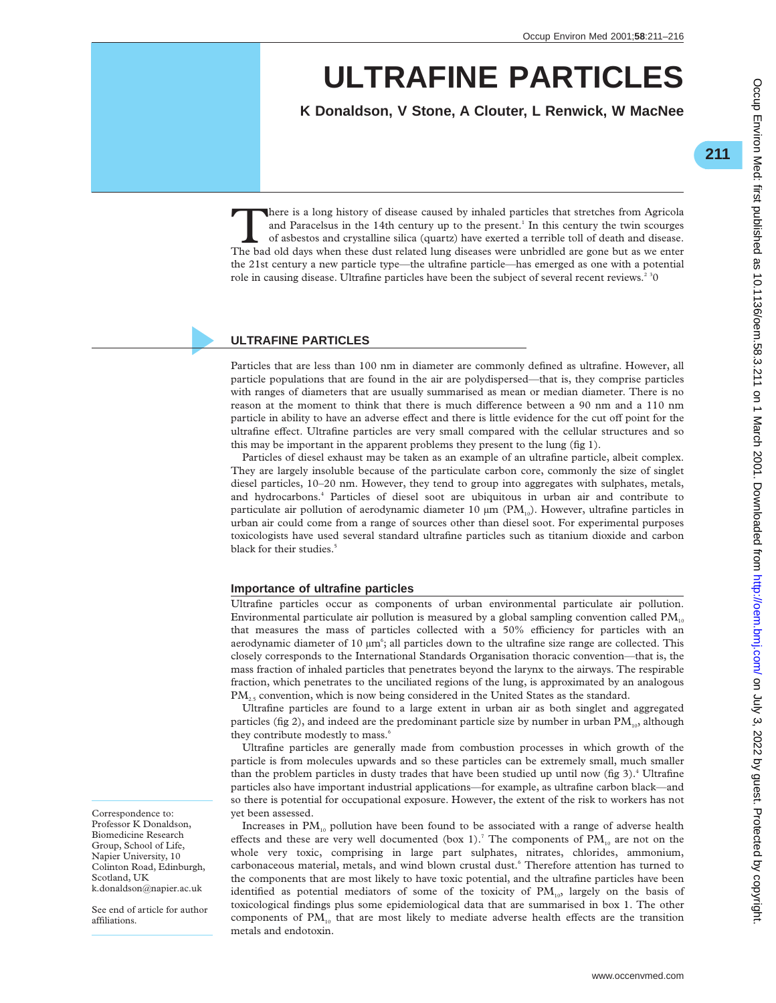# **ULTRAFINE PARTICLES**

**K Donaldson, V Stone, A Clouter, L Renwick, W MacNee**

\***<sup>211</sup>**

There is a long history of disease caused by inhaled particles that stretches from Agricola<br>and Paracelsus in the 14th century up to the present.<sup>1</sup> In this century the twin scourges<br>of asbestos and crystalline silica (qua and Paracelsus in the 14th century up to the present.<sup>1</sup> In this century the twin scourges of asbestos and crystalline silica (quartz) have exerted a terrible toll of death and disease. The bad old days when these dust related lung diseases were unbridled are gone but as we enter the 21st century a new particle type—the ultrafine particle—has emerged as one with a potential role in causing disease. Ultrafine particles have been the subject of several recent reviews.<sup>2 3</sup>0

# **ULTRAFINE PARTICLES**

Particles that are less than 100 nm in diameter are commonly defined as ultrafine. However, all particle populations that are found in the air are polydispersed—that is, they comprise particles with ranges of diameters that are usually summarised as mean or median diameter. There is no reason at the moment to think that there is much difference between a 90 nm and a 110 nm particle in ability to have an adverse effect and there is little evidence for the cut off point for the ultrafine effect. Ultrafine particles are very small compared with the cellular structures and so this may be important in the apparent problems they present to the lung (fig 1).

Particles of diesel exhaust may be taken as an example of an ultrafine particle, albeit complex. They are largely insoluble because of the particulate carbon core, commonly the size of singlet diesel particles, 10–20 nm. However, they tend to group into aggregates with sulphates, metals, and hydrocarbons.4 Particles of diesel soot are ubiquitous in urban air and contribute to particulate air pollution of aerodynamic diameter 10  $\mu$ m (PM<sub>10</sub>). However, ultrafine particles in urban air could come from a range of sources other than diesel soot. For experimental purposes toxicologists have used several standard ultrafine particles such as titanium dioxide and carbon black for their studies.<sup>5</sup>

# **Importance of ultrafine particles**

Ultrafine particles occur as components of urban environmental particulate air pollution. Environmental particulate air pollution is measured by a global sampling convention called  $PM_{10}$ that measures the mass of particles collected with a 50% efficiency for particles with an aerodynamic diameter of  $10 \mu m^6$ ; all particles down to the ultrafine size range are collected. This closely corresponds to the International Standards Organisation thoracic convention—that is, the mass fraction of inhaled particles that penetrates beyond the larynx to the airways. The respirable fraction, which penetrates to the unciliated regions of the lung, is approximated by an analogous PM<sub>25</sub> convention, which is now being considered in the United States as the standard.

Ultrafine particles are found to a large extent in urban air as both singlet and aggregated particles (fig 2), and indeed are the predominant particle size by number in urban  $PM_{10}$  although they contribute modestly to mass.<sup>6</sup>

Ultrafine particles are generally made from combustion processes in which growth of the particle is from molecules upwards and so these particles can be extremely small, much smaller than the problem particles in dusty trades that have been studied up until now (fig  $3$ ).<sup>4</sup> Ultrafine particles also have important industrial applications—for example, as ultrafine carbon black—and so there is potential for occupational exposure. However, the extent of the risk to workers has not yet been assessed.

Correspondence to: Professor K Donaldson, Biomedicine Research Group, School of Life, Napier University, 10 Colinton Road, Edinburgh, Scotland, UK k.donaldson@napier.ac.uk

See end of article for author affiliations.

Increases in  $PM_{10}$  pollution have been found to be associated with a range of adverse health effects and these are very well documented (box 1).<sup>7</sup> The components of PM<sub>10</sub> are not on the whole very toxic, comprising in large part sulphates, nitrates, chlorides, ammonium, carbonaceous material, metals, and wind blown crustal dust.<sup>6</sup> Therefore attention has turned to the components that are most likely to have toxic potential, and the ultrafine particles have been identified as potential mediators of some of the toxicity of  $PM_{10}$ , largely on the basis of toxicological findings plus some epidemiological data that are summarised in box 1. The other components of  $PM_{10}$  that are most likely to mediate adverse health effects are the transition metals and endotoxin.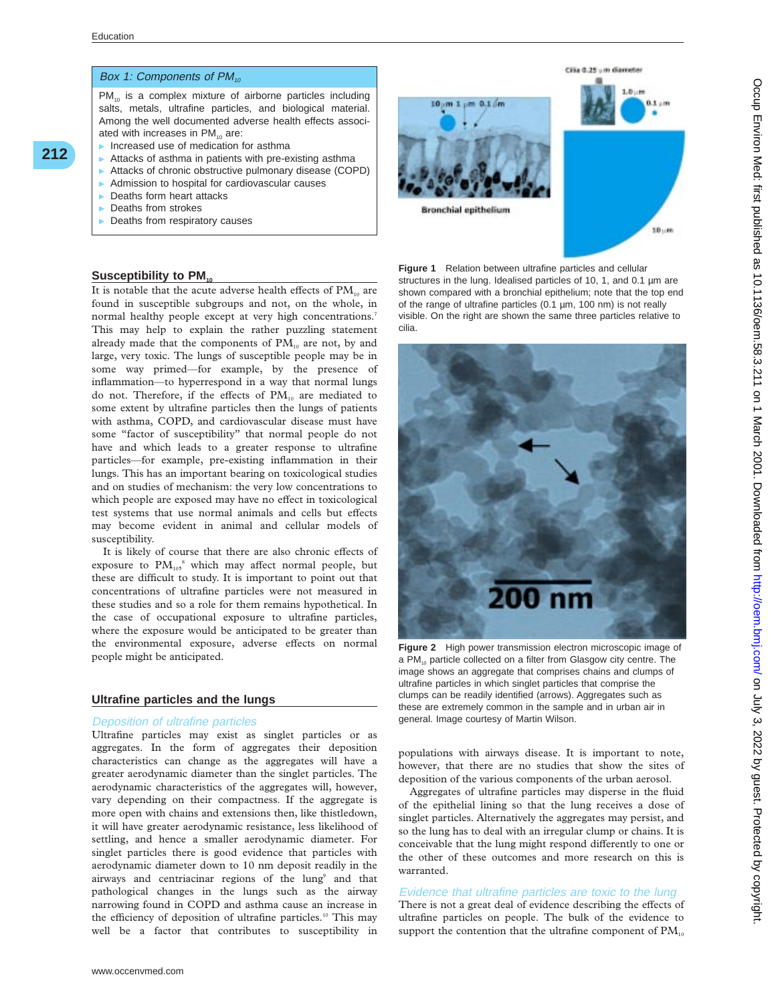# Box 1: Components of  $PM_{10}$

 $PM_{10}$  is a complex mixture of airborne particles including salts, metals, ultrafine particles, and biological material. Among the well documented adverse health effects associated with increases in  $PM_{10}$  are:

- Increased use of medication for asthma
- Attacks of asthma in patients with pre-existing asthma
- Attacks of chronic obstructive pulmonary disease (COPD)
- Admission to hospital for cardiovascular causes
- $\blacktriangleright$  Deaths form heart attacks
- Deaths from strokes
- Deaths from respiratory causes

# **Susceptibility to PM<sub>10</sub>**

It is notable that the acute adverse health effects of  $PM_{10}$  are found in susceptible subgroups and not, on the whole, in normal healthy people except at very high concentrations.<sup>7</sup> This may help to explain the rather puzzling statement already made that the components of  $PM_{10}$  are not, by and large, very toxic. The lungs of susceptible people may be in some way primed—for example, by the presence of inflammation—to hyperrespond in a way that normal lungs do not. Therefore, if the effects of  $PM_{10}$  are mediated to some extent by ultrafine particles then the lungs of patients with asthma, COPD, and cardiovascular disease must have some "factor of susceptibility" that normal people do not have and which leads to a greater response to ultrafine particles—for example, pre-existing inflammation in their lungs. This has an important bearing on toxicological studies and on studies of mechanism: the very low concentrations to which people are exposed may have no effect in toxicological test systems that use normal animals and cells but effects may become evident in animal and cellular models of susceptibility.

It is likely of course that there are also chronic effects of exposure to  $\text{PM}_{10}$ <sup>8</sup> which may affect normal people, but these are difficult to study. It is important to point out that concentrations of ultrafine particles were not measured in these studies and so a role for them remains hypothetical. In the case of occupational exposure to ultrafine particles, where the exposure would be anticipated to be greater than the environmental exposure, adverse effects on normal people might be anticipated.

#### **Ultrafine particles and the lungs**

#### Deposition of ultrafine particles

Ultrafine particles may exist as singlet particles or as aggregates. In the form of aggregates their deposition characteristics can change as the aggregates will have a greater aerodynamic diameter than the singlet particles. The aerodynamic characteristics of the aggregates will, however, vary depending on their compactness. If the aggregate is more open with chains and extensions then, like thistledown, it will have greater aerodynamic resistance, less likelihood of settling, and hence a smaller aerodynamic diameter. For singlet particles there is good evidence that particles with aerodynamic diameter down to 10 nm deposit readily in the airways and centriacinar regions of the lung<sup>9</sup> and that pathological changes in the lungs such as the airway narrowing found in COPD and asthma cause an increase in the efficiency of deposition of ultrafine particles.<sup>10</sup> This may well be a factor that contributes to susceptibility in

Citia 0.25 um diameter









**Figure 2** High power transmission electron microscopic image of a PM<sub>10</sub> particle collected on a filter from Glasgow city centre. The image shows an aggregate that comprises chains and clumps of ultrafine particles in which singlet particles that comprise the clumps can be readily identified (arrows). Aggregates such as these are extremely common in the sample and in urban air in general. Image courtesy of Martin Wilson.

populations with airways disease. It is important to note, however, that there are no studies that show the sites of deposition of the various components of the urban aerosol.

Aggregates of ultrafine particles may disperse in the fluid of the epithelial lining so that the lung receives a dose of singlet particles. Alternatively the aggregates may persist, and so the lung has to deal with an irregular clump or chains. It is conceivable that the lung might respond differently to one or the other of these outcomes and more research on this is warranted.

#### Evidence that ultrafine particles are toxic to the lung

There is not a great deal of evidence describing the effects of ultrafine particles on people. The bulk of the evidence to support the contention that the ultrafine component of  $PM_{10}$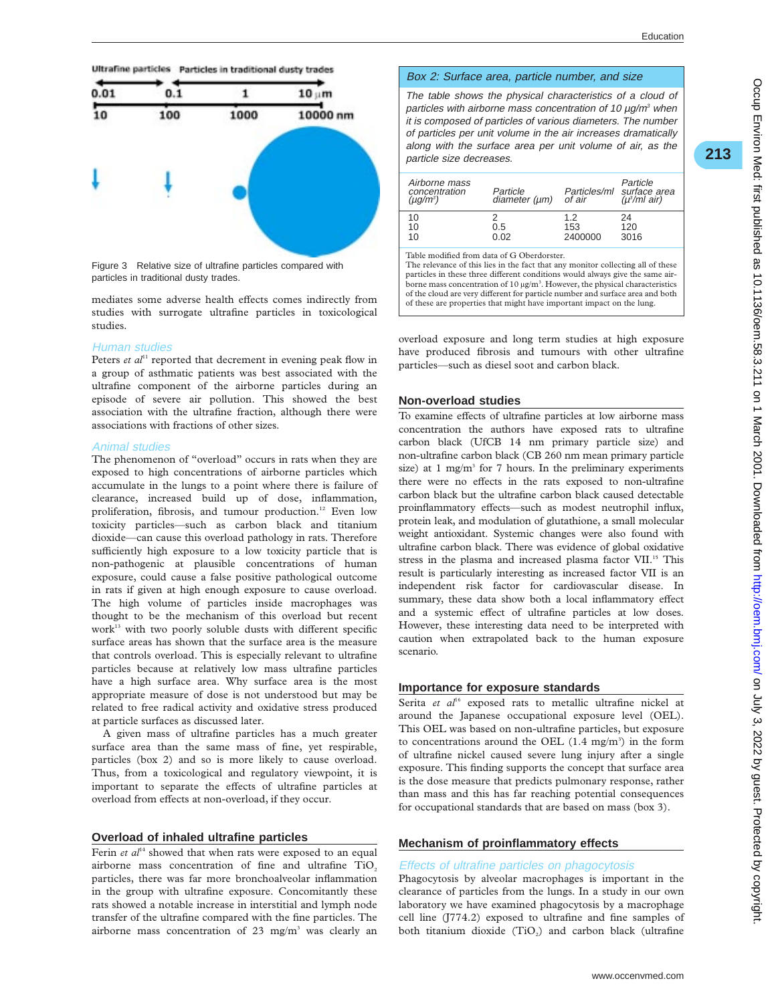Ultrafine particles Particles in traditional dusty trades



Figure 3 Relative size of ultrafine particles compared with particles in traditional dusty trades.

mediates some adverse health effects comes indirectly from studies with surrogate ultrafine particles in toxicological studies.

#### Human studies

Peters *et al*<sup>11</sup> reported that decrement in evening peak flow in a group of asthmatic patients was best associated with the ultrafine component of the airborne particles during an episode of severe air pollution. This showed the best association with the ultrafine fraction, although there were associations with fractions of other sizes.

#### Animal studies

The phenomenon of "overload" occurs in rats when they are exposed to high concentrations of airborne particles which accumulate in the lungs to a point where there is failure of clearance, increased build up of dose, inflammation, proliferation, fibrosis, and tumour production.<sup>12</sup> Even low toxicity particles—such as carbon black and titanium dioxide—can cause this overload pathology in rats. Therefore sufficiently high exposure to a low toxicity particle that is non-pathogenic at plausible concentrations of human exposure, could cause a false positive pathological outcome in rats if given at high enough exposure to cause overload. The high volume of particles inside macrophages was thought to be the mechanism of this overload but recent  $work<sup>13</sup>$  with two poorly soluble dusts with different specific surface areas has shown that the surface area is the measure that controls overload. This is especially relevant to ultrafine particles because at relatively low mass ultrafine particles have a high surface area. Why surface area is the most appropriate measure of dose is not understood but may be related to free radical activity and oxidative stress produced at particle surfaces as discussed later.

A given mass of ultrafine particles has a much greater surface area than the same mass of fine, yet respirable, particles (box 2) and so is more likely to cause overload. Thus, from a toxicological and regulatory viewpoint, it is important to separate the effects of ultrafine particles at overload from effects at non-overload, if they occur.

#### **Overload of inhaled ultrafine particles**

Ferin *et al*<sup>14</sup> showed that when rats were exposed to an equal airborne mass concentration of fine and ultrafine TiO<sub>2</sub> particles, there was far more bronchoalveolar inflammation in the group with ultrafine exposure. Concomitantly these rats showed a notable increase in interstitial and lymph node transfer of the ultrafine compared with the fine particles. The airborne mass concentration of 23 mg/m<sup>3</sup> was clearly an

# Box 2: Surface area, particle number, and size

The table shows the physical characteristics of <sup>a</sup> cloud of particles with airborne mass concentration of 10  $\mu$ g/m<sup>3</sup> when it is composed of particles of various diameters. The number of particles per unit volume in the air increases dramatically along with the surface area per unit volume of air, as the particle size decreases.

| Airborne mass<br>concentration<br>$(\mu q/m^3)$ | Particle<br>diameter (um) | of air                | Particle<br>Particles/ml surface area<br>$(\mu^3/ml$ air) |
|-------------------------------------------------|---------------------------|-----------------------|-----------------------------------------------------------|
| 10<br>10<br>10                                  | 0.5<br>0.02               | 1.2<br>153<br>2400000 | 24<br>120<br>3016                                         |

Table modified from data of G Oberdorster.

The relevance of this lies in the fact that any monitor collecting all of these particles in these three different conditions would always give the same airborne mass concentration of  $10 \mu g/m<sup>3</sup>$ . However, the physical characteristics of the cloud are very different for particle number and surface area and both of these are properties that might have important impact on the lung.

overload exposure and long term studies at high exposure have produced fibrosis and tumours with other ultrafine particles—such as diesel soot and carbon black.

#### **Non-overload studies**

To examine effects of ultrafine particles at low airborne mass concentration the authors have exposed rats to ultrafine carbon black (UfCB 14 nm primary particle size) and non-ultrafine carbon black (CB 260 nm mean primary particle size) at 1 mg/m<sup>3</sup> for 7 hours. In the preliminary experiments there were no effects in the rats exposed to non-ultrafine carbon black but the ultrafine carbon black caused detectable proinflammatory effects—such as modest neutrophil influx, protein leak, and modulation of glutathione, a small molecular weight antioxidant. Systemic changes were also found with ultrafine carbon black. There was evidence of global oxidative stress in the plasma and increased plasma factor VII.<sup>15</sup> This result is particularly interesting as increased factor VII is an independent risk factor for cardiovascular disease. In summary, these data show both a local inflammatory effect and a systemic effect of ultrafine particles at low doses. However, these interesting data need to be interpreted with caution when extrapolated back to the human exposure scenario.

#### **Importance for exposure standards**

Serita *et al*<sup>16</sup> exposed rats to metallic ultrafine nickel at around the Japanese occupational exposure level (OEL). This OEL was based on non-ultrafine particles, but exposure to concentrations around the OEL  $(1.4 \text{ mg/m}^3)$  in the form of ultrafine nickel caused severe lung injury after a single exposure. This finding supports the concept that surface area is the dose measure that predicts pulmonary response, rather than mass and this has far reaching potential consequences for occupational standards that are based on mass (box 3).

# **Mechanism of proinflammatory effects**

# Effects of ultrafine particles on phagocytosis Phagocytosis by alveolar macrophages is important in the clearance of particles from the lungs. In a study in our own laboratory we have examined phagocytosis by a macrophage cell line (J774.2) exposed to ultrafine and fine samples of both titanium dioxide  $(TiO<sub>2</sub>)$  and carbon black (ultrafine

www.occenvmed.com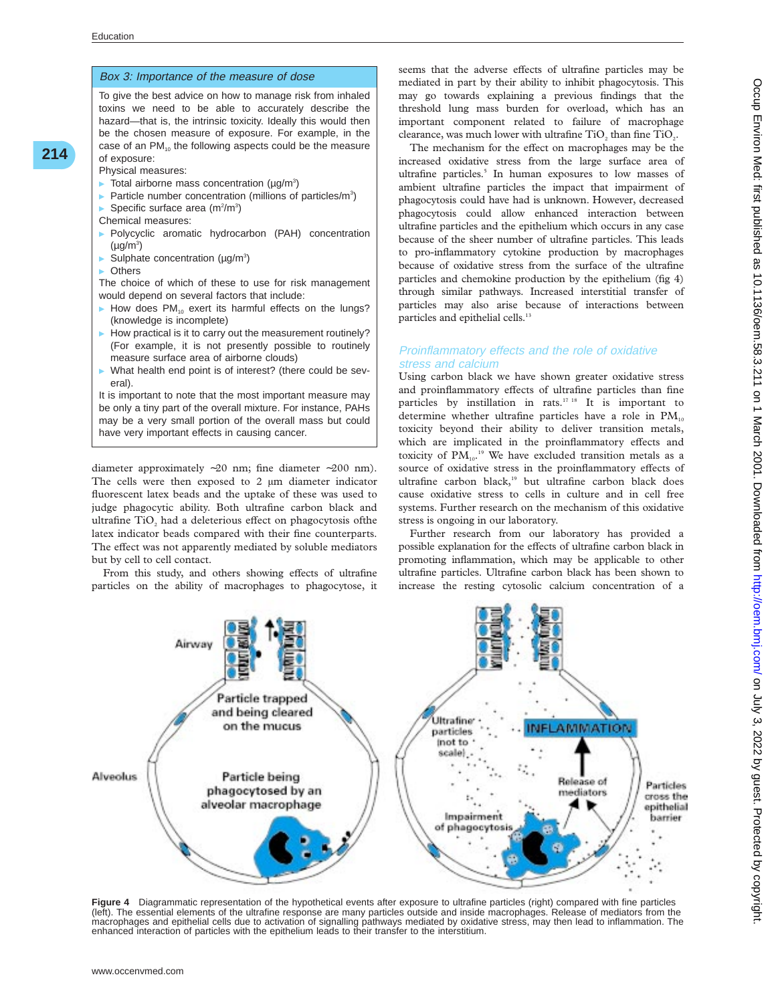Physical measures:

 $\triangleright$  Total airborne mass concentration ( $\mu$ g/m<sup>3</sup>)

Box 3: Importance of the measure of dose

- Particle number concentration (millions of particles/m<sup>3</sup>)
- Specific surface area  $(m^2/m^3)$
- Chemical measures:
- Polycyclic aromatic hydrocarbon (PAH) concentration  $(\mu g/m^3)$
- Sulphate concentration ( $\mu$ g/m<sup>3</sup>)
- **Others**

The choice of which of these to use for risk management would depend on several factors that include:

- How does  $PM_{10}$  exert its harmful effects on the lungs? (knowledge is incomplete)
- How practical is it to carry out the measurement routinely? (For example, it is not presently possible to routinely measure surface area of airborne clouds)
- $\triangleright$  What health end point is of interest? (there could be several).

It is important to note that the most important measure may be only a tiny part of the overall mixture. For instance, PAHs may be a very small portion of the overall mass but could have very important effects in causing cancer.

diameter approximately ∼20 nm; fine diameter ∼200 nm). The cells were then exposed to 2  $\mu$ m diameter indicator fluorescent latex beads and the uptake of these was used to judge phagocytic ability. Both ultrafine carbon black and ultrafine TiO<sub>2</sub> had a deleterious effect on phagocytosis ofthe latex indicator beads compared with their fine counterparts. The effect was not apparently mediated by soluble mediators but by cell to cell contact.

From this study, and others showing effects of ultrafine particles on the ability of macrophages to phagocytose, it seems that the adverse effects of ultrafine particles may be mediated in part by their ability to inhibit phagocytosis. This may go towards explaining a previous findings that the threshold lung mass burden for overload, which has an important component related to failure of macrophage clearance, was much lower with ultrafine  $TiO$ , than fine  $TiO$ .

The mechanism for the effect on macrophages may be the increased oxidative stress from the large surface area of ultrafine particles.<sup>5</sup> In human exposures to low masses of ambient ultrafine particles the impact that impairment of phagocytosis could have had is unknown. However, decreased phagocytosis could allow enhanced interaction between ultrafine particles and the epithelium which occurs in any case because of the sheer number of ultrafine particles. This leads to pro-inflammatory cytokine production by macrophages because of oxidative stress from the surface of the ultrafine particles and chemokine production by the epithelium (fig 4) through similar pathways. Increased interstitial transfer of particles may also arise because of interactions between particles and epithelial cells.<sup>13</sup>

# Proinflammatory effects and the role of oxidative stress and calcium

Using carbon black we have shown greater oxidative stress and proinflammatory effects of ultrafine particles than fine particles by instillation in rats.<sup>17 18</sup> It is important to determine whether ultrafine particles have a role in  $PM_{10}$ toxicity beyond their ability to deliver transition metals, which are implicated in the proinflammatory effects and toxicity of  $PM_{10}$ ,<sup>19</sup> We have excluded transition metals as a source of oxidative stress in the proinflammatory effects of ultrafine carbon black,<sup>19</sup> but ultrafine carbon black does cause oxidative stress to cells in culture and in cell free systems. Further research on the mechanism of this oxidative stress is ongoing in our laboratory.

Further research from our laboratory has provided a possible explanation for the effects of ultrafine carbon black in promoting inflammation, which may be applicable to other ultrafine particles. Ultrafine carbon black has been shown to increase the resting cytosolic calcium concentration of a



**Figure 4** Diagrammatic representation of the hypothetical events after exposure to ultrafine particles (right) compared with fine particles (left). The essential elements of the ultrafine response are many particles outside and inside macrophages. Release of mediators from the macrophages and epithelial cells due to activation of signalling pathways mediated by oxidative stress, may then lead to inflammation. The enhanced interaction of particles with the epithelium leads to their transfer to the interstitium.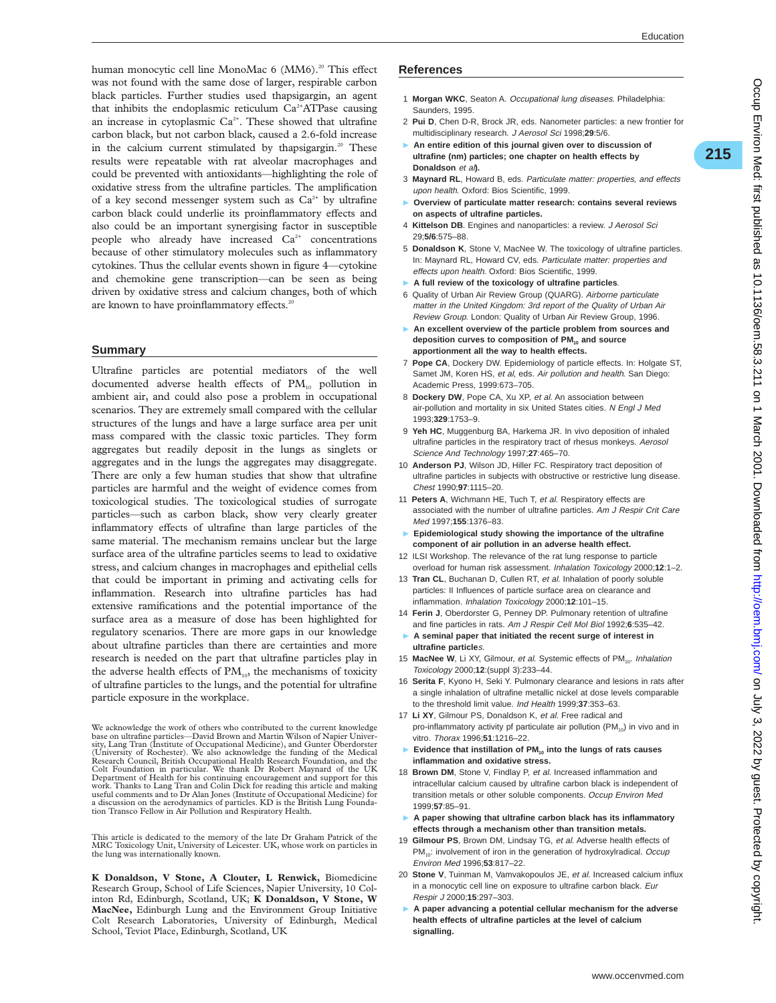human monocytic cell line MonoMac 6 (MM6).<sup>20</sup> This effect was not found with the same dose of larger, respirable carbon black particles. Further studies used thapsigargin, an agent that inhibits the endoplasmic reticulum  $Ca<sup>2+</sup>ATP$ ase causing an increase in cytoplasmic  $Ca<sup>2+</sup>$ . These showed that ultrafine carbon black, but not carbon black, caused a 2.6-fold increase in the calcium current stimulated by thapsigargin.<sup>20</sup> These results were repeatable with rat alveolar macrophages and could be prevented with antioxidants—highlighting the role of oxidative stress from the ultrafine particles. The amplification of a key second messenger system such as  $Ca<sup>2+</sup>$  by ultrafine carbon black could underlie its proinflammatory effects and also could be an important synergising factor in susceptible people who already have increased  $Ca<sup>2+</sup>$  concentrations because of other stimulatory molecules such as inflammatory cytokines. Thus the cellular events shown in figure 4—cytokine and chemokine gene transcription—can be seen as being driven by oxidative stress and calcium changes, both of which are known to have proinflammatory effects.<sup>20</sup>

#### **Summary**

Ultrafine particles are potential mediators of the well documented adverse health effects of  $PM_{10}$  pollution in ambient air, and could also pose a problem in occupational scenarios. They are extremely small compared with the cellular structures of the lungs and have a large surface area per unit mass compared with the classic toxic particles. They form aggregates but readily deposit in the lungs as singlets or aggregates and in the lungs the aggregates may disaggregate. There are only a few human studies that show that ultrafine particles are harmful and the weight of evidence comes from toxicological studies. The toxicological studies of surrogate particles—such as carbon black, show very clearly greater inflammatory effects of ultrafine than large particles of the same material. The mechanism remains unclear but the large surface area of the ultrafine particles seems to lead to oxidative stress, and calcium changes in macrophages and epithelial cells that could be important in priming and activating cells for inflammation. Research into ultrafine particles has had extensive ramifications and the potential importance of the surface area as a measure of dose has been highlighted for regulatory scenarios. There are more gaps in our knowledge about ultrafine particles than there are certainties and more research is needed on the part that ultrafine particles play in the adverse health effects of  $PM_{10}$ , the mechanisms of toxicity of ultrafine particles to the lungs, and the potential for ultrafine particle exposure in the workplace.

We acknowledge the work of others who contributed to the current knowledge base on ultrafine particles—David Brown and Martin Wilson of Napier University, Lang Tran (Institute of Occupational Medicine), and Gunter Oberdorster (University of Rochester). We also acknowledge the funding of the Medical Research Council, British Occupational Health Research Foundation, and the Colt Foundation in particular. We thank Dr Robert Maynard of the UK Department of Health for his continuing encouragement and support for this work. Thanks to Lang Tran and Colin Dick for reading this article and making useful comments and to Dr Alan Jones (Institute of Occupational Medicine) for a discussion on the aerodynamics of particles. KD is the British Lung Foundation Transco Fellow in Air Pollution and Respiratory Health.

This article is dedicated to the memory of the late Dr Graham Patrick of the MRC Toxicology Unit, University of Leicester. UK, whose work on particles in the lung was internationally known.

**K Donaldson, V Stone, A Clouter, L Renwick,** Biomedicine Research Group, School of Life Sciences, Napier University, 10 Colinton Rd, Edinburgh, Scotland, UK; **K Donaldson, V Stone, W MacNee,** Edinburgh Lung and the Environment Group Initiative Colt Research Laboratories, University of Edinburgh, Medical School, Teviot Place, Edinburgh, Scotland, UK

# **References**

- 1 **Morgan WKC**, Seaton A. Occupational lung diseases. Philadelphia: Saunders, 1995.
- 2 **Pui D**, Chen D-R, Brock JR, eds. Nanometer particles: a new frontier for multidisciplinary research. J Aerosol Sci 1998;**29**:5/6.
- **An entire edition of this journal given over to discussion of ultrafine (nm) particles; one chapter on health effects by** Donaldson et al.
- 3 **Maynard RL**, Howard B, eds. Particulate matter: properties, and effects upon health. Oxford: Bios Scientific, 1999.
- **Coverview of particulate matter research: contains several reviews on aspects of ultrafine particles.**
- 4 **Kittelson DB**. Engines and nanoparticles: a review. J Aerosol Sci 29;**5/6**:575–88.
- 5 **Donaldson K**, Stone V, MacNee W. The toxicology of ultrafine particles. In: Maynard RL, Howard CV, eds. Particulate matter: properties and effects upon health. Oxford: Bios Scientific, 1999.
- **A full review of the toxicology of ultrafine particles.**
- 6 Quality of Urban Air Review Group (QUARG). Airborne particulate matter in the United Kingdom: 3rd report of the Quality of Urban Air Review Group. London: Quality of Urban Air Review Group, 1996.
- An excellent overview of the particle problem from sources and deposition curves to composition of PM<sub>10</sub> and source **apportionment all the way to health effects.**
- 7 **Pope CA**, Dockery DW. Epidemiology of particle effects. In: Holgate ST, Samet JM, Koren HS, et al, eds. Air pollution and health. San Diego: Academic Press, 1999:673–705.
- 8 **Dockery DW**, Pope CA, Xu XP, et al. An association between air-pollution and mortality in six United States cities. <sup>N</sup> Engl J Med 1993;**329**:1753–9.
- 9 **Yeh HC**, Muggenburg BA, Harkema JR. In vivo deposition of inhaled ultrafine particles in the respiratory tract of rhesus monkeys. Aerosol Science And Technology 1997;**27**:465–70.
- 10 **Anderson PJ**, Wilson JD, Hiller FC. Respiratory tract deposition of ultrafine particles in subjects with obstructive or restrictive lung disease. Chest 1990;**97**:1115–20.
- 11 **Peters A**, Wichmann HE, Tuch T, et al. Respiratory effects are associated with the number of ultrafine particles. Am J Respir Crit Care Med 1997;**155**:1376–83.
- **Epidemiological study showing the importance of the ultrafine component of air pollution in an adverse health effect.**
- 12 ILSI Workshop. The relevance of the rat lung response to particle overload for human risk assessment. Inhalation Toxicology 2000;**12**:1–2.
- 13 **Tran CL**, Buchanan D, Cullen RT, et al. Inhalation of poorly soluble particles: II Influences of particle surface area on clearance and inflammation. Inhalation Toxicology 2000;**12**:101–15.
- 14 **Ferin J**, Oberdorster G, Penney DP. Pulmonary retention of ultrafine and fine particles in rats. Am J Respir Cell Mol Biol 1992;**6**:535–42.
- c **A seminal paper that initiated the recent surge of interest in ultrafine particle**s.
- 15 MacNee W, Li XY, Gilmour, et al. Systemic effects of PM<sub>10</sub>. Inhalation Toxicology 2000;**12**:(suppl 3):233–44.
- 16 **Serita F**, Kyono H, Seki Y. Pulmonary clearance and lesions in rats after a single inhalation of ultrafine metallic nickel at dose levels comparable to the threshold limit value. Ind Health 1999;**37**:353–63.
- 17 **Li XY**, Gilmour PS, Donaldson K, et al. Free radical and pro-inflammatory activity pf particulate air pollution ( $PM_{10}$ ) in vivo and in vitro. Thorax 1996;**51**:1216–22.
- Evidence that instillation of PM<sub>10</sub> into the lungs of rats causes **inflammation and oxidative stress.**
- 18 **Brown DM**, Stone V, Findlay P, et al. Increased inflammation and intracellular calcium caused by ultrafine carbon black is independent of transition metals or other soluble components. Occup Environ Med 1999;**57**:85–91.
- A paper showing that ultrafine carbon black has its inflammatory **effects through a mechanism other than transition metals.**
- 19 **Gilmour PS**, Brown DM, Lindsay TG, et al. Adverse health effects of PM<sub>10</sub>: involvement of iron in the generation of hydroxylradical. Occup Environ Med 1996;**53**:817–22.
- 20 **Stone V**, Tuinman M, Vamvakopoulos JE, et al. Increased calcium influx in a monocytic cell line on exposure to ultrafine carbon black. Eur Respir J 2000;**15**:297–303.
- **A paper advancing a potential cellular mechanism for the adverse health effects of ultrafine particles at the level of calcium signalling.**